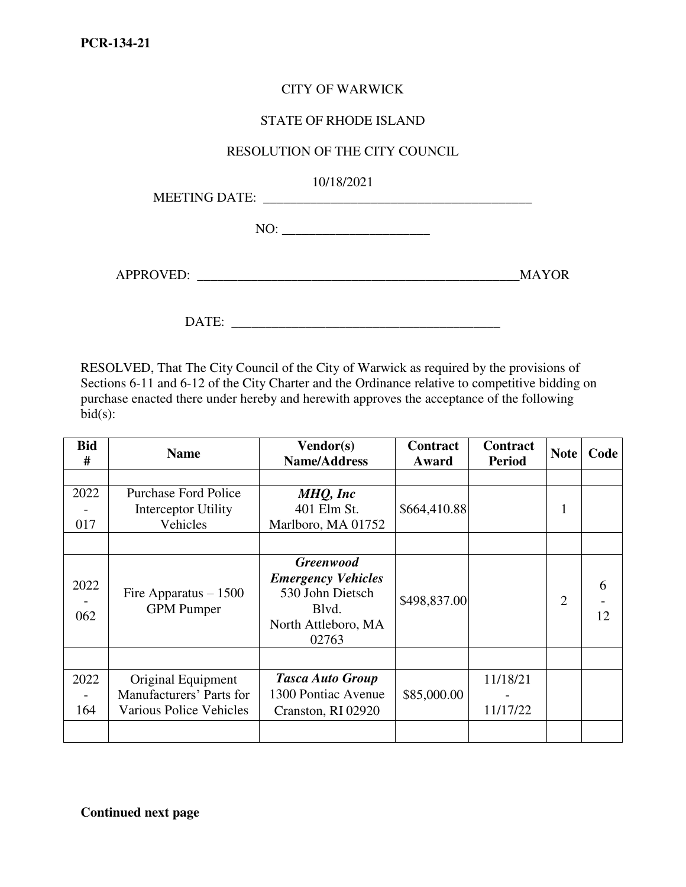## CITY OF WARWICK

## STATE OF RHODE ISLAND

## RESOLUTION OF THE CITY COUNCIL

10/18/2021

MEETING DATE: \_\_\_\_\_\_\_\_\_\_\_\_\_\_\_\_\_\_\_\_\_\_\_\_\_\_\_\_\_\_\_\_\_\_\_\_\_\_\_\_

NO:

APPROVED: \_\_\_\_\_\_\_\_\_\_\_\_\_\_\_\_\_\_\_\_\_\_\_\_\_\_\_\_\_\_\_\_\_\_\_\_\_\_\_\_\_\_\_\_\_\_\_\_MAYOR

DATE: \_\_\_\_\_\_\_\_\_\_\_\_\_\_\_\_\_\_\_\_\_\_\_\_\_\_\_\_\_\_\_\_\_\_\_\_\_\_\_\_

RESOLVED, That The City Council of the City of Warwick as required by the provisions of Sections 6-11 and 6-12 of the City Charter and the Ordinance relative to competitive bidding on purchase enacted there under hereby and herewith approves the acceptance of the following  $bid(s):$ 

| <b>Bid</b><br># | <b>Name</b>                                 | Vendor(s)<br><b>Name/Address</b>                                                                           | <b>Contract</b><br>Award | <b>Contract</b><br><b>Period</b> | <b>Note</b>    | Code    |
|-----------------|---------------------------------------------|------------------------------------------------------------------------------------------------------------|--------------------------|----------------------------------|----------------|---------|
|                 |                                             |                                                                                                            |                          |                                  |                |         |
| 2022            | <b>Purchase Ford Police</b>                 | MHQ, Inc                                                                                                   |                          |                                  |                |         |
|                 | Interceptor Utility                         | 401 Elm St.                                                                                                | \$664,410.88             |                                  | 1              |         |
| 017             | Vehicles                                    | Marlboro, MA 01752                                                                                         |                          |                                  |                |         |
|                 |                                             |                                                                                                            |                          |                                  |                |         |
| 2022<br>062     | Fire Apparatus $-1500$<br><b>GPM</b> Pumper | <b>Greenwood</b><br><b>Emergency Vehicles</b><br>530 John Dietsch<br>Blvd.<br>North Attleboro, MA<br>02763 | \$498,837.00             |                                  | $\overline{2}$ | 6<br>12 |
|                 |                                             |                                                                                                            |                          |                                  |                |         |
| 2022            | Original Equipment                          | <b>Tasca Auto Group</b>                                                                                    |                          | 11/18/21                         |                |         |
|                 | Manufacturers' Parts for                    | 1300 Pontiac Avenue                                                                                        | \$85,000.00              |                                  |                |         |
| 164             | <b>Various Police Vehicles</b>              | Cranston, RI 02920                                                                                         |                          | 11/17/22                         |                |         |
|                 |                                             |                                                                                                            |                          |                                  |                |         |

**Continued next page**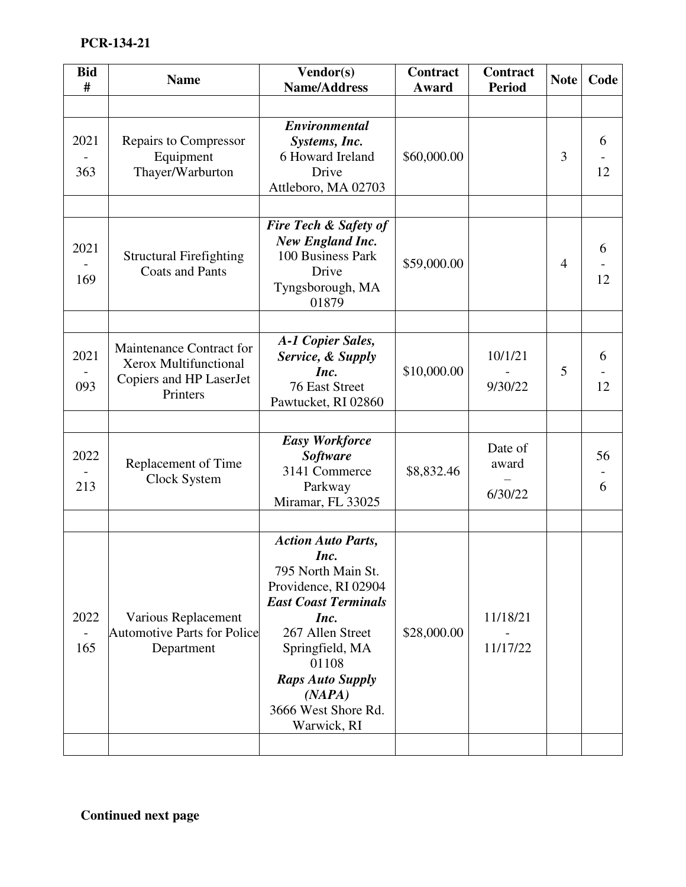| <b>Bid</b><br># | <b>Name</b>                                                                              | Vendor(s)<br><b>Name/Address</b>                                                                                                                                                                                                                  | <b>Contract</b><br>Award | Contract<br><b>Period</b>   | <b>Note</b>    | Code    |
|-----------------|------------------------------------------------------------------------------------------|---------------------------------------------------------------------------------------------------------------------------------------------------------------------------------------------------------------------------------------------------|--------------------------|-----------------------------|----------------|---------|
|                 |                                                                                          |                                                                                                                                                                                                                                                   |                          |                             |                |         |
| 2021<br>363     | <b>Repairs to Compressor</b><br>Equipment<br>Thayer/Warburton                            | Environmental<br>Systems, Inc.<br>6 Howard Ireland<br>Drive<br>Attleboro, MA 02703                                                                                                                                                                | \$60,000.00              |                             | 3              | 6<br>12 |
| 2021<br>169     | <b>Structural Firefighting</b><br><b>Coats and Pants</b>                                 | Fire Tech & Safety of<br><b>New England Inc.</b><br>100 Business Park<br>Drive<br>Tyngsborough, MA<br>01879                                                                                                                                       | \$59,000.00              |                             | $\overline{4}$ | 6<br>12 |
| 2021<br>093     | Maintenance Contract for<br>Xerox Multifunctional<br>Copiers and HP LaserJet<br>Printers | A-1 Copier Sales,<br>Service, & Supply<br>Inc.<br>76 East Street<br>Pawtucket, RI 02860                                                                                                                                                           | \$10,000.00              | 10/1/21<br>9/30/22          | 5              | 6<br>12 |
|                 |                                                                                          |                                                                                                                                                                                                                                                   |                          |                             |                |         |
| 2022<br>213     | Replacement of Time<br>Clock System                                                      | <b>Easy Workforce</b><br><b>Software</b><br>3141 Commerce<br>Parkway<br>Miramar, FL 33025                                                                                                                                                         | \$8,832.46               | Date of<br>award<br>6/30/22 |                | 56<br>6 |
|                 |                                                                                          |                                                                                                                                                                                                                                                   |                          |                             |                |         |
| 2022<br>165     | Various Replacement<br><b>Automotive Parts for Police</b><br>Department                  | <b>Action Auto Parts,</b><br>Inc.<br>795 North Main St.<br>Providence, RI 02904<br><b>East Coast Terminals</b><br>Inc.<br>267 Allen Street<br>Springfield, MA<br>01108<br><b>Raps Auto Supply</b><br>(NAPA)<br>3666 West Shore Rd.<br>Warwick, RI | \$28,000.00              | 11/18/21<br>11/17/22        |                |         |
|                 |                                                                                          |                                                                                                                                                                                                                                                   |                          |                             |                |         |

**Continued next page**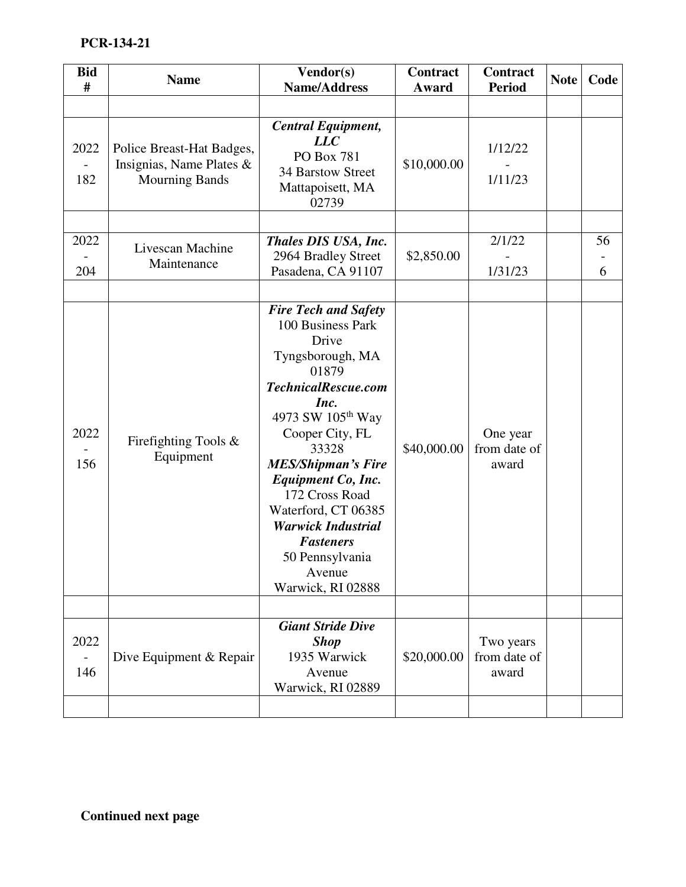| <b>Bid</b><br># | <b>Name</b>                                                                    | Vendor(s)<br><b>Name/Address</b>                                                                                                                                                                                                                                                                                                                                                         | <b>Contract</b><br>Award | Contract<br><b>Period</b>         | <b>Note</b> | Code    |
|-----------------|--------------------------------------------------------------------------------|------------------------------------------------------------------------------------------------------------------------------------------------------------------------------------------------------------------------------------------------------------------------------------------------------------------------------------------------------------------------------------------|--------------------------|-----------------------------------|-------------|---------|
|                 |                                                                                |                                                                                                                                                                                                                                                                                                                                                                                          |                          |                                   |             |         |
| 2022<br>182     | Police Breast-Hat Badges,<br>Insignias, Name Plates &<br><b>Mourning Bands</b> | <b>Central Equipment,</b><br>LLC<br>PO Box 781<br>34 Barstow Street<br>Mattapoisett, MA<br>02739                                                                                                                                                                                                                                                                                         | \$10,000.00              | 1/12/22<br>1/11/23                |             |         |
| 2022<br>204     | Livescan Machine<br>Maintenance                                                | Thales DIS USA, Inc.<br>2964 Bradley Street<br>Pasadena, CA 91107                                                                                                                                                                                                                                                                                                                        | \$2,850.00               | 2/1/22<br>1/31/23                 |             | 56<br>6 |
| 2022<br>156     | Firefighting Tools $\&$<br>Equipment                                           | <b>Fire Tech and Safety</b><br>100 Business Park<br>Drive<br>Tyngsborough, MA<br>01879<br>TechnicalRescue.com<br>Inc.<br>4973 SW 105 <sup>th</sup> Way<br>Cooper City, FL<br>33328<br><b>MES/Shipman's Fire</b><br><b>Equipment Co, Inc.</b><br>172 Cross Road<br>Waterford, CT 06385<br><b>Warwick Industrial</b><br><b>Fasteners</b><br>50 Pennsylvania<br>Avenue<br>Warwick, RI 02888 | \$40,000.00              | One year<br>from date of<br>award |             |         |
| 2022            | Dive Equipment & Repair                                                        | <b>Giant Stride Dive</b><br><b>Shop</b><br>1935 Warwick                                                                                                                                                                                                                                                                                                                                  | \$20,000.00              | Two years<br>from date of         |             |         |
| 146             |                                                                                | Avenue<br>Warwick, RI 02889                                                                                                                                                                                                                                                                                                                                                              |                          | award                             |             |         |
|                 |                                                                                |                                                                                                                                                                                                                                                                                                                                                                                          |                          |                                   |             |         |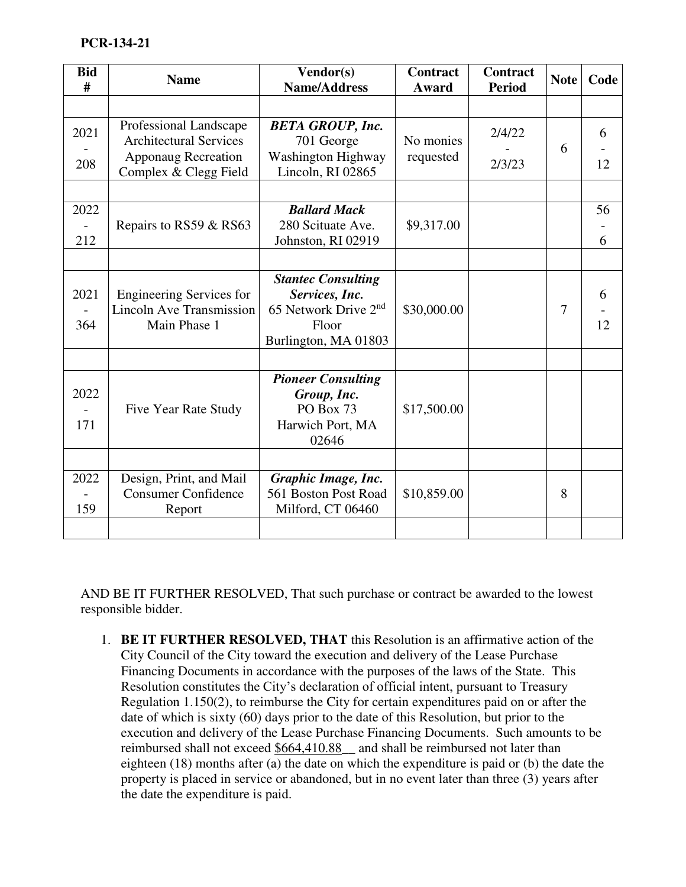| <b>Bid</b><br># | <b>Name</b>                                                                        | Vendor(s)<br><b>Name/Address</b>                                                                                 | <b>Contract</b><br>Award | <b>Contract</b><br><b>Period</b> | <b>Note</b>    | Code    |    |
|-----------------|------------------------------------------------------------------------------------|------------------------------------------------------------------------------------------------------------------|--------------------------|----------------------------------|----------------|---------|----|
|                 |                                                                                    |                                                                                                                  |                          |                                  |                |         |    |
| 2021            | Professional Landscape<br><b>Architectural Services</b>                            | <b>BETA GROUP, Inc.</b><br>701 George                                                                            | No monies                | 2/4/22                           | 6              | 6       |    |
| 208             | <b>Apponaug Recreation</b><br>Complex & Clegg Field                                | Washington Highway<br>Lincoln, RI 02865                                                                          | requested                |                                  | 2/3/23         |         | 12 |
| 2022<br>212     | Repairs to RS59 & RS63                                                             | <b>Ballard Mack</b><br>280 Scituate Ave.<br>Johnston, RI 02919                                                   | \$9,317.00               |                                  |                | 56<br>6 |    |
|                 |                                                                                    |                                                                                                                  |                          |                                  |                |         |    |
| 2021<br>364     | <b>Engineering Services for</b><br><b>Lincoln Ave Transmission</b><br>Main Phase 1 | <b>Stantec Consulting</b><br>Services, Inc.<br>65 Network Drive 2 <sup>nd</sup><br>Floor<br>Burlington, MA 01803 | \$30,000.00              |                                  | $\overline{7}$ | 6<br>12 |    |
| 2022<br>171     | Five Year Rate Study                                                               | <b>Pioneer Consulting</b><br>Group, Inc.<br>PO Box 73<br>Harwich Port, MA<br>02646                               | \$17,500.00              |                                  |                |         |    |
| 2022<br>159     | Design, Print, and Mail<br><b>Consumer Confidence</b><br>Report                    | Graphic Image, Inc.<br>561 Boston Post Road<br>Milford, CT 06460                                                 | \$10,859.00              |                                  | 8              |         |    |

AND BE IT FURTHER RESOLVED, That such purchase or contract be awarded to the lowest responsible bidder.

1. **BE IT FURTHER RESOLVED, THAT** this Resolution is an affirmative action of the City Council of the City toward the execution and delivery of the Lease Purchase Financing Documents in accordance with the purposes of the laws of the State. This Resolution constitutes the City's declaration of official intent, pursuant to Treasury Regulation 1.150(2), to reimburse the City for certain expenditures paid on or after the date of which is sixty (60) days prior to the date of this Resolution, but prior to the execution and delivery of the Lease Purchase Financing Documents. Such amounts to be reimbursed shall not exceed \$664,410.88\_\_ and shall be reimbursed not later than eighteen (18) months after (a) the date on which the expenditure is paid or (b) the date the property is placed in service or abandoned, but in no event later than three (3) years after the date the expenditure is paid.